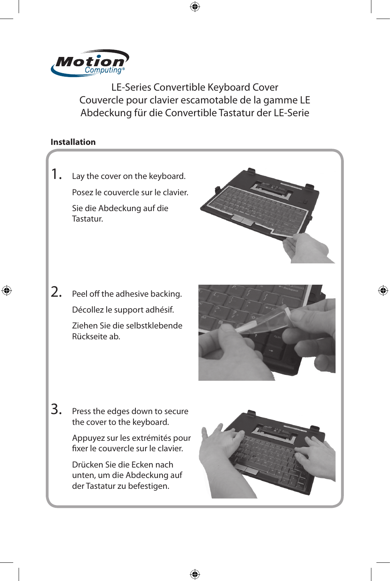

LE-Series Convertible Keyboard Cover Couvercle pour clavier escamotable de la gamme LE Abdeckung für die Convertible Tastatur der LE-Serie

 $\bigoplus$ 

## **Installation**

⊕



⊕

⊕